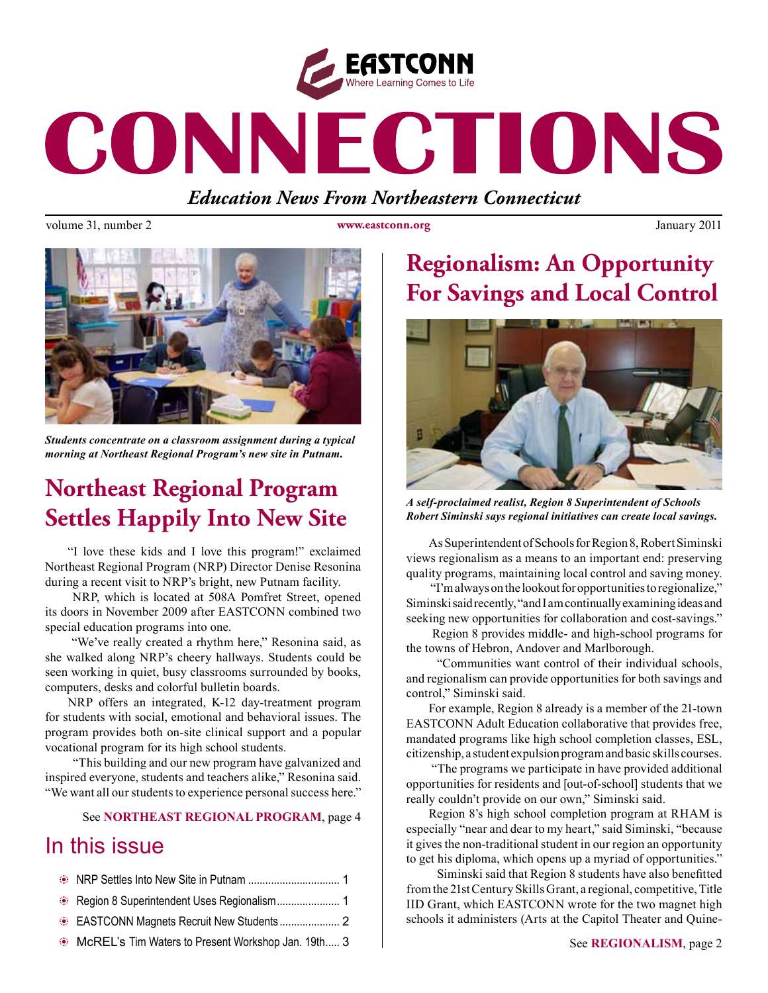

# CONNECTIONS

*Education News From Northeastern Connecticut*

volume 31, number 2 **www.eastconn.org** January 2011



*Students concentrate on a classroom assignment during a typical morning at Northeast Regional Program's new site in Putnam.* 

# **Northeast Regional Program Settles Happily Into New Site**

"I love these kids and I love this program!" exclaimed Northeast Regional Program (NRP) Director Denise Resonina during a recent visit to NRP's bright, new Putnam facility.

 NRP, which is located at 508A Pomfret Street, opened its doors in November 2009 after EASTCONN combined two special education programs into one.

 "We've really created a rhythm here," Resonina said, as she walked along NRP's cheery hallways. Students could be seen working in quiet, busy classrooms surrounded by books, computers, desks and colorful bulletin boards.

NRP offers an integrated, K-12 day-treatment program for students with social, emotional and behavioral issues. The program provides both on-site clinical support and a popular vocational program for its high school students.

 "This building and our new program have galvanized and inspired everyone, students and teachers alike," Resonina said. "We want all our students to experience personal success here."

See **NORTHEAST REGIONAL PROGRAM**, page 4

## In this issue

| • McREL's Tim Waters to Present Workshop Jan. 19th 3 |  |
|------------------------------------------------------|--|

# **Regionalism: An Opportunity For Savings and Local Control**



*A self-proclaimed realist, Region 8 Superintendent of Schools Robert Siminski says regional initiatives can create local savings.* 

As Superintendent of Schools for Region 8, Robert Siminski views regionalism as a means to an important end: preserving quality programs, maintaining local control and saving money.

 "I'm always on the lookout for opportunities to regionalize," Siminski said recently, "and I am continually examining ideas and seeking new opportunities for collaboration and cost-savings."

 Region 8 provides middle- and high-school programs for the towns of Hebron, Andover and Marlborough.

 "Communities want control of their individual schools, and regionalism can provide opportunities for both savings and control," Siminski said.

For example, Region 8 already is a member of the 21-town EASTCONN Adult Education collaborative that provides free, mandated programs like high school completion classes, ESL, citizenship, a student expulsion program and basic skills courses.

 "The programs we participate in have provided additional opportunities for residents and [out-of-school] students that we really couldn't provide on our own," Siminski said.

Region 8's high school completion program at RHAM is especially "near and dear to my heart," said Siminski, "because it gives the non-traditional student in our region an opportunity to get his diploma, which opens up a myriad of opportunities."

 Siminski said that Region 8 students have also beneftted from the 21st Century Skills Grant, a regional, competitive, Title IID Grant, which EASTCONN wrote for the two magnet high schools it administers (Arts at the Capitol Theater and Quine-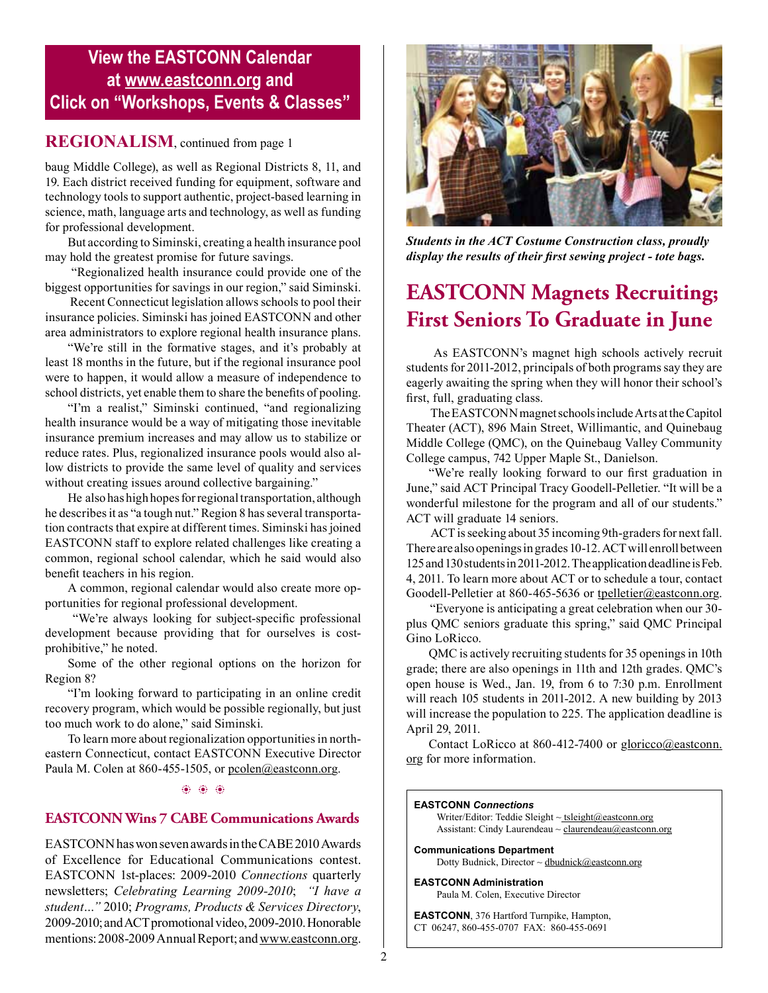## **View the EASTCONN Calendar at <www.eastconn.org> and Click on "Workshops, Events & Classes"**

## **REGIONALISM**, continued from page 1

baug Middle College), as well as Regional Districts 8, 11, and 19. Each district received funding for equipment, software and technology tools to support authentic, project-based learning in science, math, language arts and technology, as well as funding for professional development.

But according to Siminski, creating a health insurance pool may hold the greatest promise for future savings.

 "Regionalized health insurance could provide one of the biggest opportunities for savings in our region," said Siminski.

 Recent Connecticut legislation allows schools to pool their insurance policies. Siminski has joined EASTCONN and other area administrators to explore regional health insurance plans.

"We're still in the formative stages, and it's probably at least 18 months in the future, but if the regional insurance pool were to happen, it would allow a measure of independence to school districts, yet enable them to share the benefts of pooling.

"I'm a realist," Siminski continued, "and regionalizing health insurance would be a way of mitigating those inevitable insurance premium increases and may allow us to stabilize or reduce rates. Plus, regionalized insurance pools would also allow districts to provide the same level of quality and services without creating issues around collective bargaining."

He also has high hopes for regional transportation, although he describes it as "a tough nut." Region 8 has several transportation contracts that expire at different times. Siminski has joined EASTCONN staff to explore related challenges like creating a common, regional school calendar, which he said would also beneft teachers in his region.

A common, regional calendar would also create more opportunities for regional professional development.

 "We're always looking for subject-specifc professional development because providing that for ourselves is costprohibitive," he noted.

Some of the other regional options on the horizon for Region 8?

"I'm looking forward to participating in an online credit recovery program, which would be possible regionally, but just too much work to do alone," said Siminski.

To learn more about regionalization opportunities in northeastern Connecticut, contact EASTCONN Executive Director Paula M. Colen at 860-455-1505, or [pcolen@eastconn.org](mailto:pcolen@eastconn.org).

#### $\circledast$   $\circledast$   $\circledast$

### **EASTCONN Wins 7 CABE Communications Awards**

EASTCONN has won seven awards in the CABE 2010 Awards of Excellence for Educational Communications contest. EASTCONN 1st-places: 2009-2010 *Connections* quarterly newsletters; *Celebrating Learning 2009-2010*; *"I have a student…"* 2010; *Programs, Products & Services Directory*, 2009-2010; and ACT promotional video, 2009-2010. Honorable mentions: 2008-2009 Annual Report; and www.eastconn.org.



*Students in the ACT Costume Construction class, proudly display the results of their frst sewing project - tote bags.* 

## **EASTCONN Magnets Recruiting; First Seniors To Graduate in June**

 As EASTCONN's magnet high schools actively recruit students for 2011-2012, principals of both programs say they are eagerly awaiting the spring when they will honor their school's frst, full, graduating class.

 The EASTCONN magnet schools include Arts at the Capitol Theater (ACT), 896 Main Street, Willimantic, and Quinebaug Middle College (QMC), on the Quinebaug Valley Community College campus, 742 Upper Maple St., Danielson.

"We're really looking forward to our frst graduation in June," said ACT Principal Tracy Goodell-Pelletier. "It will be a wonderful milestone for the program and all of our students." ACT will graduate 14 seniors.

 ACT is seeking about 35 incoming 9th-graders for next fall. There are also openings in grades 10-12. ACT will enroll between 125 and 130 students in 2011-2012. The application deadline is Feb. 4, 2011. To learn more about ACT or to schedule a tour, contact Goodell-Pelletier at 860-465-5636 or [tpelletier@eastconn.org.](mailto:tpelletier@eastconn.org)

"Everyone is anticipating a great celebration when our 30 plus QMC seniors graduate this spring," said QMC Principal Gino LoRicco.

QMC is actively recruiting students for 35 openings in 10th grade; there are also openings in 11th and 12th grades. QMC's open house is Wed., Jan. 19, from 6 to 7:30 p.m. Enrollment will reach 105 students in 2011-2012. A new building by 2013 will increase the population to 225. The application deadline is April 29, 2011.

Contact LoRicco at 860-412-7400 or [gloricco@eastconn.](mailto:gloricco@eastconn.org) [org](mailto:gloricco@eastconn.org) for more information.

#### **EASTCONN** *Connections*

Writer/Editor: Teddie Sleight  $\sim$  tsleigh[t@eastconn.org](mailto:tsleight@eastconn.org) Assistant: Cindy Laurendeau  $\sim$  claurendeau $@$ eastconn.org

**[Communications Department](%20mailto:connections@eastconn.org)** [Dotty Budnick,](mailto:dbudnick@eastconn.org) Director ~ dbudnick@eastconn.org

#### **EASTCONN Administration**

Paula M. Colen, Executive Director

**EASTCONN**, 376 Hartford Turnpike, Hampton, CT 06247, 860-455-0707 FAX: 860-455-0691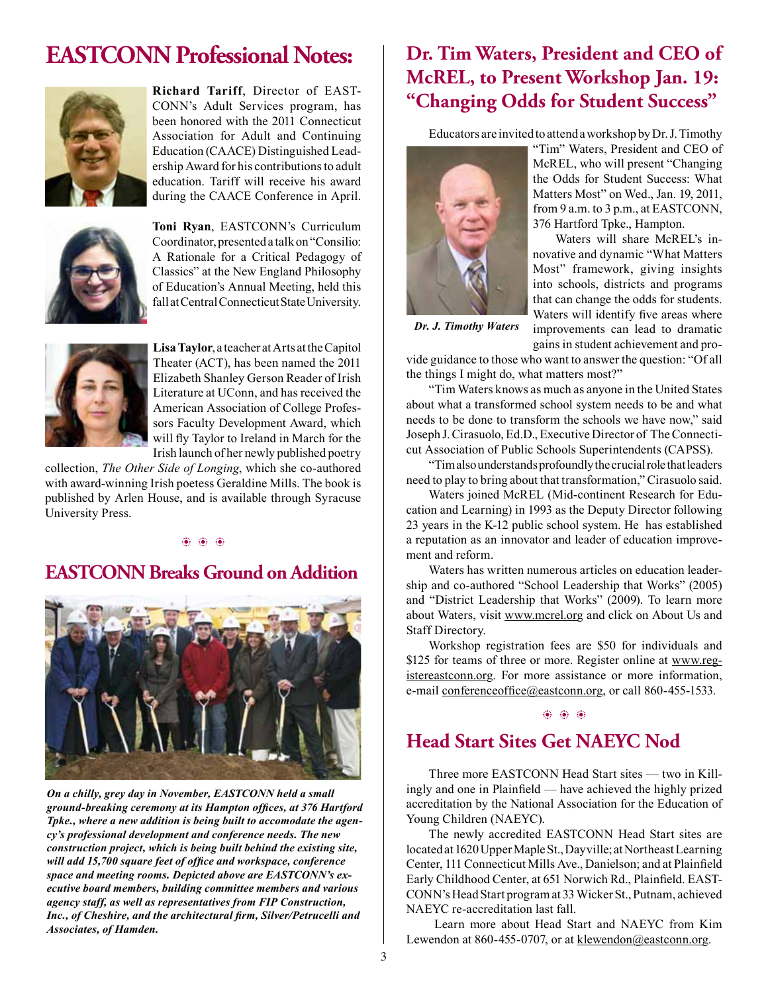# **EASTCONN Professional Notes:**



**Richard Tariff**, Director of EAST-CONN's Adult Services program, has been honored with the 2011 Connecticut Association for Adult and Continuing Education (CAACE) Distinguished Leadership Award for his contributions to adult education. Tariff will receive his award during the CAACE Conference in April.



**Toni Ryan**, EASTCONN's Curriculum Coordinator, presented a talk on "Consilio: A Rationale for a Critical Pedagogy of Classics" at the New England Philosophy of Education's Annual Meeting, held this fall at Central Connecticut State University.



**Lisa Taylor**, a teacher at Arts at the Capitol Theater (ACT), has been named the 2011 Elizabeth Shanley Gerson Reader of Irish Literature at UConn, and has received the American Association of College Professors Faculty Development Award, which will fly Taylor to Ireland in March for the Irish launch of her newly published poetry

collection, *The Other Side of Longing*, which she co-authored with award-winning Irish poetess Geraldine Mills. The book is published by Arlen House, and is available through Syracuse University Press.

#### b b b

## **EASTCONN Breaks Ground on Addition**



*On a chilly, grey day in November, EASTCONN held a small ground-breaking ceremony at its Hampton offces, at 376 Hartford Tpke., where a new addition is being built to accomodate the agency's professional development and conference needs. The new construction project, which is being built behind the existing site, will add 15,700 square feet of offce and workspace, conference space and meeting rooms. Depicted above are EASTCONN's executive board members, building committee members and various agency staff, as well as representatives from FIP Construction, Inc., of Cheshire, and the architectural frm, Silver/Petrucelli and Associates, of Hamden.* 

## **Dr. Tim Waters, President and CEO of McREL, to Present Workshop Jan. 19: "Changing Odds for Student Success"**

Educators are invited to attend a workshop by Dr. J. Timothy



"Tim" Waters, President and CEO of McREL, who will present "Changing the Odds for Student Success: What Matters Most" on Wed., Jan. 19, 2011, from 9 a.m. to 3 p.m., at EASTCONN, 376 Hartford Tpke., Hampton.

Waters will share McREL's innovative and dynamic "What Matters Most" framework, giving insights into schools, districts and programs that can change the odds for students. Waters will identify five areas where improvements can lead to dramatic gains in student achievement and pro-

*Dr. J. Timothy Waters*

vide guidance to those who want to answer the question: "Of all the things I might do, what matters most?"

"Tim Waters knows as much as anyone in the United States about what a transformed school system needs to be and what needs to be done to transform the schools we have now," said Joseph J. Cirasuolo, Ed.D., Executive Director of The Connecticut Association of Public Schools Superintendents (CAPSS).

"Tim also understands profoundly the crucial role that leaders need to play to bring about that transformation," Cirasuolo said.

Waters joined McREL (Mid-continent Research for Education and Learning) in 1993 as the Deputy Director following 23 years in the K-12 public school system. He has established a reputation as an innovator and leader of education improvement and reform.

Waters has written numerous articles on education leadership and co-authored "School Leadership that Works" (2005) and "District Leadership that Works" (2009). To learn more about Waters, visit [www.mcrel.org](http://www.mcrel.org) and click on About Us and Staff Directory.

Workshop registration fees are \$50 for individuals and \$125 for teams of three or more. Register online at [www.reg](http://www.registereastconn.org)[istereastconn.org](http://www.registereastconn.org). For more assistance or more information, e-mail conference of fice (*a*) east conn.org, or call 860-455-1533.

#### $\circledast$   $\circledast$   $\circledast$

## **Head Start Sites Get NAEYC Nod**

Three more EASTCONN Head Start sites — two in Killingly and one in Plainfeld — have achieved the highly prized accreditation by the National Association for the Education of Young Children (NAEYC).

The newly accredited EASTCONN Head Start sites are located at 1620 Upper Maple St., Dayville; at Northeast Learning Center, 111 Connecticut Mills Ave., Danielson; and at Plainfeld Early Childhood Center, at 651 Norwich Rd., Plainfeld. EAST-CONN's Head Start program at 33 Wicker St., Putnam, achieved NAEYC re-accreditation last fall.

 Learn more about Head Start and NAEYC from Kim Lewendon at 860-455-0707, or at [klewendon@eastconn.org.](mailto:klewendon@eastconn.org)